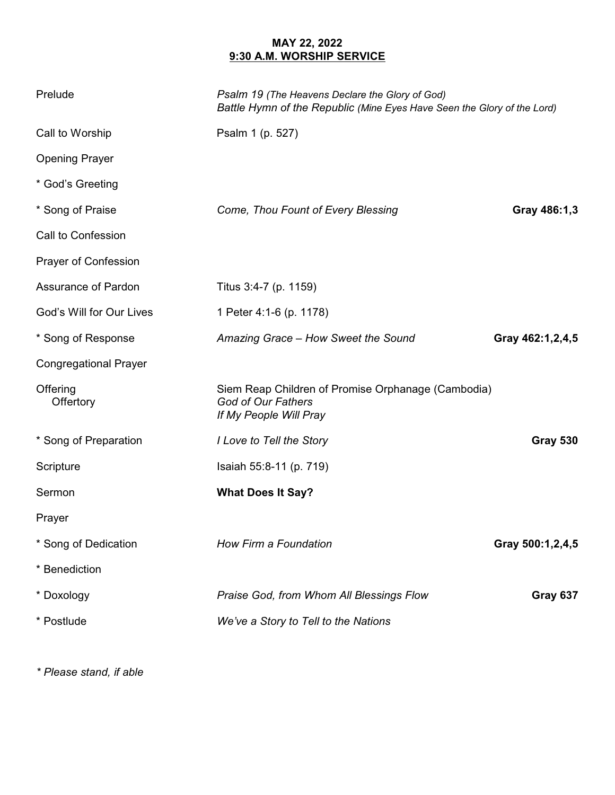## **MAY 22, 2022 9:30 A.M. WORSHIP SERVICE**

| Prelude                      | Psalm 19 (The Heavens Declare the Glory of God)<br>Battle Hymn of the Republic (Mine Eyes Have Seen the Glory of the Lord) |                  |
|------------------------------|----------------------------------------------------------------------------------------------------------------------------|------------------|
| Call to Worship              | Psalm 1 (p. 527)                                                                                                           |                  |
| <b>Opening Prayer</b>        |                                                                                                                            |                  |
| * God's Greeting             |                                                                                                                            |                  |
| * Song of Praise             | Come, Thou Fount of Every Blessing                                                                                         | Gray 486:1,3     |
| Call to Confession           |                                                                                                                            |                  |
| <b>Prayer of Confession</b>  |                                                                                                                            |                  |
| Assurance of Pardon          | Titus 3:4-7 (p. 1159)                                                                                                      |                  |
| God's Will for Our Lives     | 1 Peter 4:1-6 (p. 1178)                                                                                                    |                  |
| * Song of Response           | Amazing Grace - How Sweet the Sound                                                                                        | Gray 462:1,2,4,5 |
| <b>Congregational Prayer</b> |                                                                                                                            |                  |
| Offering<br>Offertory        | Siem Reap Children of Promise Orphanage (Cambodia)<br>God of Our Fathers<br>If My People Will Pray                         |                  |
| * Song of Preparation        | I Love to Tell the Story                                                                                                   | <b>Gray 530</b>  |
| Scripture                    | Isaiah 55:8-11 (p. 719)                                                                                                    |                  |
| Sermon                       | <b>What Does It Say?</b>                                                                                                   |                  |
| Prayer                       |                                                                                                                            |                  |
| * Song of Dedication         | How Firm a Foundation                                                                                                      | Gray 500:1,2,4,5 |
| * Benediction                |                                                                                                                            |                  |
| * Doxology                   | Praise God, from Whom All Blessings Flow                                                                                   | Gray 637         |
| * Postlude                   | We've a Story to Tell to the Nations                                                                                       |                  |

*\* Please stand, if able*